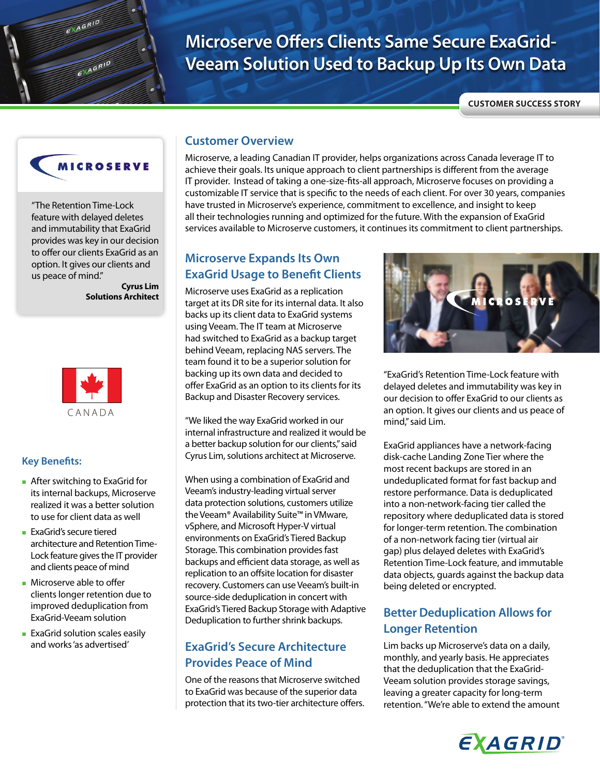# **Microserve Offers Clients Same Secure ExaGrid-Veeam Solution Used to Backup Up Its Own Data**

**CUSTOMER SUCCESS STORY**



EXAGRID

EXAGRID

"The Retention Time-Lock feature with delayed deletes and immutability that ExaGrid provides was key in our decision to offer our clients ExaGrid as an option. It gives our clients and us peace of mind."

> **Cyrus Lim Solutions Architect**



#### **Key Benefits:**

- After switching to ExaGrid for its internal backups, Microserve realized it was a better solution to use for client data as well
- ExaGrid's secure tiered architecture and Retention Time-Lock feature gives the IT provider and clients peace of mind
- **Microserve able to offer** clients longer retention due to improved deduplication from ExaGrid-Veeam solution
- **ExaGrid solution scales easily** and works 'as advertised'

### **Customer Overview**

Microserve, a leading Canadian IT provider, helps organizations across Canada leverage IT to achieve their goals. Its unique approach to client partnerships is different from the average IT provider. Instead of taking a one-size-fits-all approach, Microserve focuses on providing a customizable IT service that is specific to the needs of each client. For over 30 years, companies have trusted in Microserve's experience, commitment to excellence, and insight to keep all their technologies running and optimized for the future. With the expansion of ExaGrid services available to Microserve customers, it continues its commitment to client partnerships.

## **Microserve Expands Its Own ExaGrid Usage to Benefit Clients**

Microserve uses ExaGrid as a replication target at its DR site for its internal data. It also backs up its client data to ExaGrid systems using Veeam. The IT team at Microserve had switched to ExaGrid as a backup target behind Veeam, replacing NAS servers. The team found it to be a superior solution for backing up its own data and decided to offer ExaGrid as an option to its clients for its Backup and Disaster Recovery services.

"We liked the way ExaGrid worked in our internal infrastructure and realized it would be a better backup solution for our clients," said Cyrus Lim, solutions architect at Microserve.

When using a combination of ExaGrid and Veeam's industry-leading virtual server data protection solutions, customers utilize the Veeam® Availability Suite™ in VMware, vSphere, and Microsoft Hyper-V virtual environments on ExaGrid's Tiered Backup Storage. This combination provides fast backups and efficient data storage, as well as replication to an offsite location for disaster recovery. Customers can use Veeam's built-in source-side deduplication in concert with ExaGrid's Tiered Backup Storage with Adaptive Deduplication to further shrink backups.

# **ExaGrid's Secure Architecture Provides Peace of Mind**

One of the reasons that Microserve switched to ExaGrid was because of the superior data protection that its two-tier architecture offers.



"ExaGrid's Retention Time-Lock feature with delayed deletes and immutability was key in our decision to offer ExaGrid to our clients as an option. It gives our clients and us peace of mind," said Lim.

ExaGrid appliances have a network-facing disk-cache Landing Zone Tier where the most recent backups are stored in an undeduplicated format for fast backup and restore performance. Data is deduplicated into a non-network-facing tier called the repository where deduplicated data is stored for longer-term retention. The combination of a non-network facing tier (virtual air gap) plus delayed deletes with ExaGrid's Retention Time-Lock feature, and immutable data objects, guards against the backup data being deleted or encrypted.

## **Better Deduplication Allows for Longer Retention**

Lim backs up Microserve's data on a daily, monthly, and yearly basis. He appreciates that the deduplication that the ExaGrid-Veeam solution provides storage savings, leaving a greater capacity for long-term retention. "We're able to extend the amount